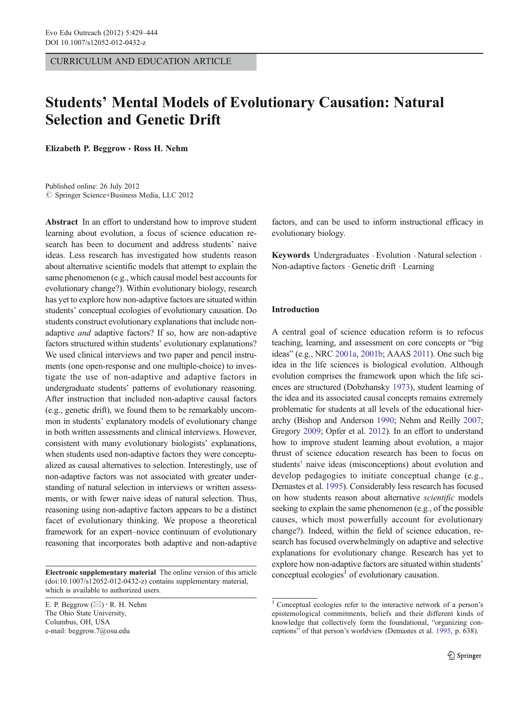<span id="page-0-0"></span>CURRICULUM AND EDUCATION ARTICLE

# Students' Mental Models of Evolutionary Causation: Natural Selection and Genetic Drift

Elizabeth P. Beggrow · Ross H. Nehm

Published online: 26 July 2012  $\oslash$  Springer Science+Business Media, LLC 2012

Abstract In an effort to understand how to improve student learning about evolution, a focus of science education research has been to document and address students' naive ideas. Less research has investigated how students reason about alternative scientific models that attempt to explain the same phenomenon (e.g., which causal model best accounts for evolutionary change?). Within evolutionary biology, research has yet to explore how non-adaptive factors are situated within students' conceptual ecologies of evolutionary causation. Do students construct evolutionary explanations that include nonadaptive and adaptive factors? If so, how are non-adaptive factors structured within students' evolutionary explanations? We used clinical interviews and two paper and pencil instruments (one open-response and one multiple-choice) to investigate the use of non-adaptive and adaptive factors in undergraduate students' patterns of evolutionary reasoning. After instruction that included non-adaptive causal factors (e.g., genetic drift), we found them to be remarkably uncommon in students' explanatory models of evolutionary change in both written assessments and clinical interviews. However, consistent with many evolutionary biologists' explanations, when students used non-adaptive factors they were conceptualized as causal alternatives to selection. Interestingly, use of non-adaptive factors was not associated with greater understanding of natural selection in interviews or written assessments, or with fewer naive ideas of natural selection. Thus, reasoning using non-adaptive factors appears to be a distinct facet of evolutionary thinking. We propose a theoretical framework for an expert–novice continuum of evolutionary reasoning that incorporates both adaptive and non-adaptive

Electronic supplementary material The online version of this article (doi:[10.1007/s12052-012-0432-z\)](http://dx.doi.org/10.1007/s12052-012-0432-z) contains supplementary material, which is available to authorized users.

E. P. Beggrow  $(\boxtimes) \cdot R$ . H. Nehm The Ohio State University, Columbus, OH, USA e-mail: beggrow.7@osu.edu

factors, and can be used to inform instructional efficacy in evolutionary biology.

Keywords Undergraduates . Evolution . Natural selection . Non-adaptive factors . Genetic drift . Learning

# Introduction

A central goal of science education reform is to refocus teaching, learning, and assessment on core concepts or "big ideas" (e.g., NRC [2001a](#page-14-0), [2001b;](#page-14-0) AAAS [2011](#page-13-0)). One such big idea in the life sciences is biological evolution. Although evolution comprises the framework upon which the life sciences are structured (Dobzhansky [1973\)](#page-14-0), student learning of the idea and its associated causal concepts remains extremely problematic for students at all levels of the educational hierarchy (Bishop and Anderson [1990;](#page-14-0) Nehm and Reilly [2007;](#page-14-0) Gregory [2009](#page-14-0); Opfer et al. [2012\)](#page-15-0). In an effort to understand how to improve student learning about evolution, a major thrust of science education research has been to focus on students' naive ideas (misconceptions) about evolution and develop pedagogies to initiate conceptual change (e.g., Demastes et al. [1995](#page-14-0)). Considerably less research has focused on how students reason about alternative scientific models seeking to explain the same phenomenon (e.g., of the possible causes, which most powerfully account for evolutionary change?). Indeed, within the field of science education, research has focused overwhelmingly on adaptive and selective explanations for evolutionary change. Research has yet to explore how non-adaptive factors are situated within students' conceptual ecologies<sup>1</sup> of evolutionary causation.

<sup>&</sup>lt;sup>1</sup> Conceptual ecologies refer to the interactive network of a person's epistemological commitments, beliefs and their different kinds of knowledge that collectively form the foundational, "organizing conceptions" of that person's worldview (Demastes et al. [1995,](#page-14-0) p. 638).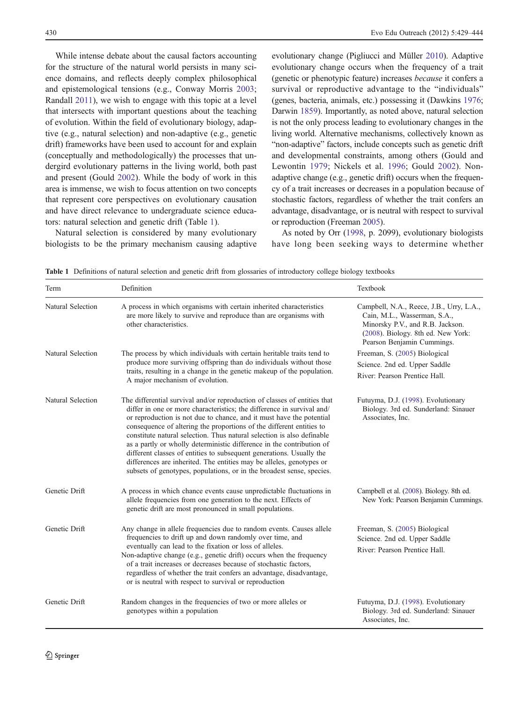While intense debate about the causal factors accounting for the structure of the natural world persists in many science domains, and reflects deeply complex philosophical and epistemological tensions (e.g., Conway Morris [2003](#page-14-0); Randall [2011\)](#page-15-0), we wish to engage with this topic at a level that intersects with important questions about the teaching of evolution. Within the field of evolutionary biology, adaptive (e.g., natural selection) and non-adaptive (e.g., genetic drift) frameworks have been used to account for and explain (conceptually and methodologically) the processes that undergird evolutionary patterns in the living world, both past and present (Gould [2002](#page-14-0)). While the body of work in this area is immense, we wish to focus attention on two concepts that represent core perspectives on evolutionary causation and have direct relevance to undergraduate science educators: natural selection and genetic drift (Table 1).

Natural selection is considered by many evolutionary biologists to be the primary mechanism causing adaptive evolutionary change (Pigliucci and Müller [2010](#page-15-0)). Adaptive evolutionary change occurs when the frequency of a trait (genetic or phenotypic feature) increases because it confers a survival or reproductive advantage to the "individuals" (genes, bacteria, animals, etc.) possessing it (Dawkins [1976;](#page-14-0) Darwin [1859\)](#page-14-0). Importantly, as noted above, natural selection is not the only process leading to evolutionary changes in the living world. Alternative mechanisms, collectively known as "non-adaptive" factors, include concepts such as genetic drift and developmental constraints, among others (Gould and Lewontin [1979](#page-14-0); Nickels et al. [1996;](#page-15-0) Gould [2002\)](#page-14-0). Nonadaptive change (e.g., genetic drift) occurs when the frequency of a trait increases or decreases in a population because of stochastic factors, regardless of whether the trait confers an advantage, disadvantage, or is neutral with respect to survival or reproduction (Freeman [2005](#page-14-0)).

As noted by Orr ([1998](#page-15-0), p. 2099), evolutionary biologists have long been seeking ways to determine whether

Table 1 Definitions of natural selection and genetic drift from glossaries of introductory college biology textbooks

| Term              | Definition                                                                                                                                                                                                                                                                                                                                                                                                                                                                                                                                                                                                                                                                      | Textbook                                                                                                                                                                         |
|-------------------|---------------------------------------------------------------------------------------------------------------------------------------------------------------------------------------------------------------------------------------------------------------------------------------------------------------------------------------------------------------------------------------------------------------------------------------------------------------------------------------------------------------------------------------------------------------------------------------------------------------------------------------------------------------------------------|----------------------------------------------------------------------------------------------------------------------------------------------------------------------------------|
| Natural Selection | A process in which organisms with certain inherited characteristics<br>are more likely to survive and reproduce than are organisms with<br>other characteristics.                                                                                                                                                                                                                                                                                                                                                                                                                                                                                                               | Campbell, N.A., Reece, J.B., Urry, L.A.,<br>Cain, M.L., Wasserman, S.A.,<br>Minorsky P.V., and R.B. Jackson.<br>(2008). Biology. 8th ed. New York:<br>Pearson Benjamin Cummings. |
| Natural Selection | The process by which individuals with certain heritable traits tend to<br>produce more surviving offspring than do individuals without those                                                                                                                                                                                                                                                                                                                                                                                                                                                                                                                                    | Freeman, S. (2005) Biological                                                                                                                                                    |
|                   |                                                                                                                                                                                                                                                                                                                                                                                                                                                                                                                                                                                                                                                                                 | Science. 2nd ed. Upper Saddle                                                                                                                                                    |
|                   | traits, resulting in a change in the genetic makeup of the population.<br>A major mechanism of evolution.                                                                                                                                                                                                                                                                                                                                                                                                                                                                                                                                                                       | River: Pearson Prentice Hall.                                                                                                                                                    |
| Natural Selection | The differential survival and/or reproduction of classes of entities that<br>differ in one or more characteristics; the difference in survival and/<br>or reproduction is not due to chance, and it must have the potential<br>consequence of altering the proportions of the different entities to<br>constitute natural selection. Thus natural selection is also definable<br>as a partly or wholly deterministic difference in the contribution of<br>different classes of entities to subsequent generations. Usually the<br>differences are inherited. The entities may be alleles, genotypes or<br>subsets of genotypes, populations, or in the broadest sense, species. | Futuyma, D.J. (1998). Evolutionary<br>Biology. 3rd ed. Sunderland: Sinauer<br>Associates, Inc.                                                                                   |
| Genetic Drift     | A process in which chance events cause unpredictable fluctuations in<br>allele frequencies from one generation to the next. Effects of<br>genetic drift are most pronounced in small populations.                                                                                                                                                                                                                                                                                                                                                                                                                                                                               | Campbell et al. (2008). Biology. 8th ed.<br>New York: Pearson Benjamin Cummings.                                                                                                 |
| Genetic Drift     | Any change in allele frequencies due to random events. Causes allele<br>frequencies to drift up and down randomly over time, and<br>eventually can lead to the fixation or loss of alleles.<br>Non-adaptive change (e.g., genetic drift) occurs when the frequency<br>of a trait increases or decreases because of stochastic factors,<br>regardless of whether the trait confers an advantage, disadvantage,<br>or is neutral with respect to survival or reproduction                                                                                                                                                                                                         | Freeman, S. (2005) Biological<br>Science. 2nd ed. Upper Saddle<br>River: Pearson Prentice Hall.                                                                                  |
| Genetic Drift     | Random changes in the frequencies of two or more alleles or<br>genotypes within a population                                                                                                                                                                                                                                                                                                                                                                                                                                                                                                                                                                                    | Futuyma, D.J. (1998). Evolutionary<br>Biology. 3rd ed. Sunderland: Sinauer<br>Associates, Inc.                                                                                   |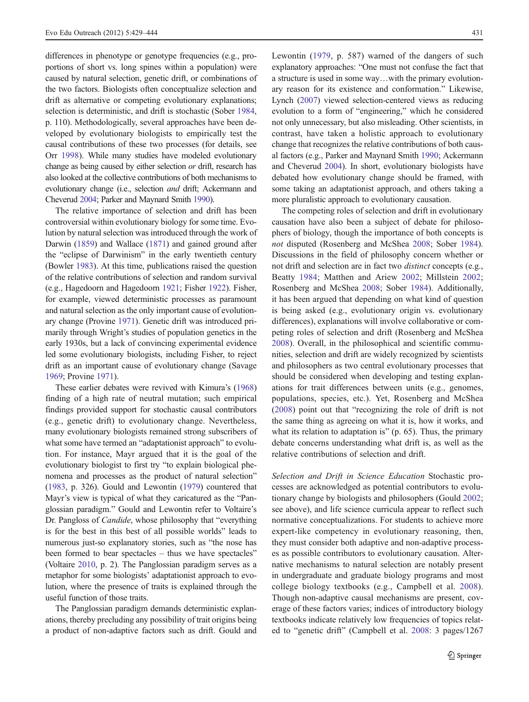differences in phenotype or genotype frequencies (e.g., proportions of short vs. long spines within a population) were caused by natural selection, genetic drift, or combinations of the two factors. Biologists often conceptualize selection and drift as alternative or competing evolutionary explanations; selection is deterministic, and drift is stochastic (Sober [1984,](#page-15-0) p. 110). Methodologically, several approaches have been developed by evolutionary biologists to empirically test the causal contributions of these two processes (for details, see Orr [1998\)](#page-15-0). While many studies have modeled evolutionary change as being caused by either selection or drift, research has also looked at the collective contributions of both mechanisms to evolutionary change (i.e., selection and drift; Ackermann and Cheverud [2004;](#page-13-0) Parker and Maynard Smith [1990](#page-15-0)).

The relative importance of selection and drift has been controversial within evolutionary biology for some time. Evolution by natural selection was introduced through the work of Darwin ([1859](#page-14-0)) and Wallace ([1871](#page-15-0)) and gained ground after the "eclipse of Darwinism" in the early twentieth century (Bowler [1983](#page-14-0)). At this time, publications raised the question of the relative contributions of selection and random survival (e.g., Hagedoorn and Hagedoorn [1921](#page-14-0); Fisher [1922](#page-14-0)). Fisher, for example, viewed deterministic processes as paramount and natural selection as the only important cause of evolutionary change (Provine [1971](#page-15-0)). Genetic drift was introduced primarily through Wright's studies of population genetics in the early 1930s, but a lack of convincing experimental evidence led some evolutionary biologists, including Fisher, to reject drift as an important cause of evolutionary change (Savage [1969;](#page-15-0) Provine [1971](#page-15-0)).

These earlier debates were revived with Kimura's [\(1968\)](#page-14-0) finding of a high rate of neutral mutation; such empirical findings provided support for stochastic causal contributors (e.g., genetic drift) to evolutionary change. Nevertheless, many evolutionary biologists remained strong subscribers of what some have termed an "adaptationist approach" to evolution. For instance, Mayr argued that it is the goal of the evolutionary biologist to first try "to explain biological phenomena and processes as the product of natural selection" [\(1983,](#page-14-0) p. 326). Gould and Lewontin [\(1979\)](#page-14-0) countered that Mayr's view is typical of what they caricatured as the "Panglossian paradigm." Gould and Lewontin refer to Voltaire's Dr. Pangloss of Candide, whose philosophy that "everything is for the best in this best of all possible worlds" leads to numerous just-so explanatory stories, such as "the nose has been formed to bear spectacles – thus we have spectacles" (Voltaire [2010](#page-15-0), p. 2). The Panglossian paradigm serves as a metaphor for some biologists' adaptationist approach to evolution, where the presence of traits is explained through the useful function of those traits.

The Panglossian paradigm demands deterministic explanations, thereby precluding any possibility of trait origins being a product of non-adaptive factors such as drift. Gould and Lewontin [\(1979,](#page-14-0) p. 587) warned of the dangers of such explanatory approaches: "One must not confuse the fact that a structure is used in some way…with the primary evolutionary reason for its existence and conformation." Likewise, Lynch ([2007](#page-14-0)) viewed selection-centered views as reducing evolution to a form of "engineering," which he considered not only unnecessary, but also misleading. Other scientists, in contrast, have taken a holistic approach to evolutionary change that recognizes the relative contributions of both causal factors (e.g., Parker and Maynard Smith [1990;](#page-15-0) Ackermann and Cheverud [2004](#page-13-0)). In short, evolutionary biologists have debated how evolutionary change should be framed, with some taking an adaptationist approach, and others taking a more pluralistic approach to evolutionary causation.

The competing roles of selection and drift in evolutionary causation have also been a subject of debate for philosophers of biology, though the importance of both concepts is not disputed (Rosenberg and McShea [2008;](#page-15-0) Sober [1984\)](#page-15-0). Discussions in the field of philosophy concern whether or not drift and selection are in fact two distinct concepts (e.g., Beatty [1984;](#page-14-0) Matthen and Ariew [2002;](#page-14-0) Millstein [2002;](#page-14-0) Rosenberg and McShea [2008](#page-15-0); Sober [1984](#page-15-0)). Additionally, it has been argued that depending on what kind of question is being asked (e.g., evolutionary origin vs. evolutionary differences), explanations will involve collaborative or competing roles of selection and drift (Rosenberg and McShea [2008](#page-15-0)). Overall, in the philosophical and scientific communities, selection and drift are widely recognized by scientists and philosophers as two central evolutionary processes that should be considered when developing and testing explanations for trait differences between units (e.g., genomes, populations, species, etc.). Yet, Rosenberg and McShea [\(2008](#page-15-0)) point out that "recognizing the role of drift is not the same thing as agreeing on what it is, how it works, and what its relation to adaptation is" (p. 65). Thus, the primary debate concerns understanding what drift is, as well as the relative contributions of selection and drift.

Selection and Drift in Science Education Stochastic processes are acknowledged as potential contributors to evolutionary change by biologists and philosophers (Gould [2002;](#page-14-0) see above), and life science curricula appear to reflect such normative conceptualizations. For students to achieve more expert-like competency in evolutionary reasoning, then, they must consider both adaptive and non-adaptive processes as possible contributors to evolutionary causation. Alternative mechanisms to natural selection are notably present in undergraduate and graduate biology programs and most college biology textbooks (e.g., Campbell et al. [2008](#page-14-0)). Though non-adaptive causal mechanisms are present, coverage of these factors varies; indices of introductory biology textbooks indicate relatively low frequencies of topics related to "genetic drift" (Campbell et al. [2008](#page-14-0): 3 pages/1267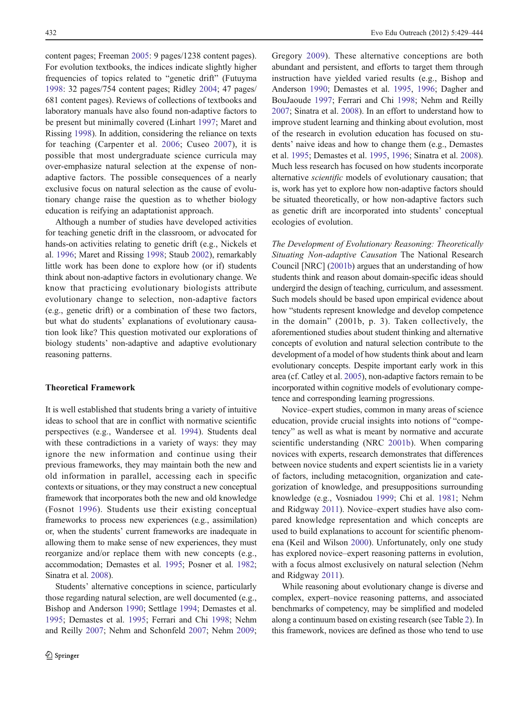content pages; Freeman [2005:](#page-14-0) 9 pages/1238 content pages). For evolution textbooks, the indices indicate slightly higher frequencies of topics related to "genetic drift" (Futuyma [1998:](#page-14-0) 32 pages/754 content pages; Ridley [2004;](#page-15-0) 47 pages/ 681 content pages). Reviews of collections of textbooks and laboratory manuals have also found non-adaptive factors to be present but minimally covered (Linhart [1997;](#page-14-0) Maret and Rissing [1998](#page-14-0)). In addition, considering the reliance on texts for teaching (Carpenter et al. [2006;](#page-14-0) Cuseo [2007](#page-14-0)), it is possible that most undergraduate science curricula may over-emphasize natural selection at the expense of nonadaptive factors. The possible consequences of a nearly exclusive focus on natural selection as the cause of evolutionary change raise the question as to whether biology education is reifying an adaptationist approach.

Although a number of studies have developed activities for teaching genetic drift in the classroom, or advocated for hands-on activities relating to genetic drift (e.g., Nickels et al. [1996](#page-15-0); Maret and Rissing [1998;](#page-14-0) Staub [2002\)](#page-15-0), remarkably little work has been done to explore how (or if) students think about non-adaptive factors in evolutionary change. We know that practicing evolutionary biologists attribute evolutionary change to selection, non-adaptive factors (e.g., genetic drift) or a combination of these two factors, but what do students' explanations of evolutionary causation look like? This question motivated our explorations of biology students' non-adaptive and adaptive evolutionary reasoning patterns.

#### Theoretical Framework

It is well established that students bring a variety of intuitive ideas to school that are in conflict with normative scientific perspectives (e.g., Wandersee et al. [1994](#page-15-0)). Students deal with these contradictions in a variety of ways: they may ignore the new information and continue using their previous frameworks, they may maintain both the new and old information in parallel, accessing each in specific contexts or situations, or they may construct a new conceptual framework that incorporates both the new and old knowledge (Fosnot [1996](#page-14-0)). Students use their existing conceptual frameworks to process new experiences (e.g., assimilation) or, when the students' current frameworks are inadequate in allowing them to make sense of new experiences, they must reorganize and/or replace them with new concepts (e.g., accommodation; Demastes et al. [1995](#page-14-0); Posner et al. [1982](#page-15-0); Sinatra et al. [2008\)](#page-15-0).

Students' alternative conceptions in science, particularly those regarding natural selection, are well documented (e.g., Bishop and Anderson [1990](#page-14-0); Settlage [1994](#page-15-0); Demastes et al. [1995;](#page-14-0) Demastes et al. [1995](#page-14-0); Ferrari and Chi [1998](#page-14-0); Nehm and Reilly [2007;](#page-14-0) Nehm and Schonfeld [2007](#page-14-0); Nehm [2009](#page-14-0); Gregory [2009\)](#page-14-0). These alternative conceptions are both abundant and persistent, and efforts to target them through instruction have yielded varied results (e.g., Bishop and Anderson [1990;](#page-14-0) Demastes et al. [1995](#page-14-0), [1996;](#page-14-0) Dagher and BouJaoude [1997](#page-14-0); Ferrari and Chi [1998](#page-14-0); Nehm and Reilly [2007](#page-14-0); Sinatra et al. [2008](#page-15-0)). In an effort to understand how to improve student learning and thinking about evolution, most of the research in evolution education has focused on students' naive ideas and how to change them (e.g., Demastes et al. [1995;](#page-14-0) Demastes et al. [1995,](#page-14-0) [1996](#page-14-0); Sinatra et al. [2008\)](#page-15-0). Much less research has focused on how students incorporate alternative scientific models of evolutionary causation; that is, work has yet to explore how non-adaptive factors should be situated theoretically, or how non-adaptive factors such as genetic drift are incorporated into students' conceptual ecologies of evolution.

The Development of Evolutionary Reasoning: Theoretically Situating Non-adaptive Causation The National Research Council [NRC] ([2001b](#page-14-0)) argues that an understanding of how students think and reason about domain-specific ideas should undergird the design of teaching, curriculum, and assessment. Such models should be based upon empirical evidence about how "students represent knowledge and develop competence in the domain" (2001b, p. 3). Taken collectively, the aforementioned studies about student thinking and alternative concepts of evolution and natural selection contribute to the development of a model of how students think about and learn evolutionary concepts. Despite important early work in this area (cf. Catley et al. [2005](#page-14-0)), non-adaptive factors remain to be incorporated within cognitive models of evolutionary competence and corresponding learning progressions.

Novice–expert studies, common in many areas of science education, provide crucial insights into notions of "competency" as well as what is meant by normative and accurate scientific understanding (NRC [2001b\)](#page-14-0). When comparing novices with experts, research demonstrates that differences between novice students and expert scientists lie in a variety of factors, including metacognition, organization and categorization of knowledge, and presuppositions surrounding knowledge (e.g., Vosniadou [1999;](#page-15-0) Chi et al. [1981](#page-14-0); Nehm and Ridgway [2011](#page-14-0)). Novice–expert studies have also compared knowledge representation and which concepts are used to build explanations to account for scientific phenomena (Keil and Wilson [2000](#page-14-0)). Unfortunately, only one study has explored novice–expert reasoning patterns in evolution, with a focus almost exclusively on natural selection (Nehm and Ridgway [2011\)](#page-14-0).

While reasoning about evolutionary change is diverse and complex, expert–novice reasoning patterns, and associated benchmarks of competency, may be simplified and modeled along a continuum based on existing research (see Table [2](#page-5-0)). In this framework, novices are defined as those who tend to use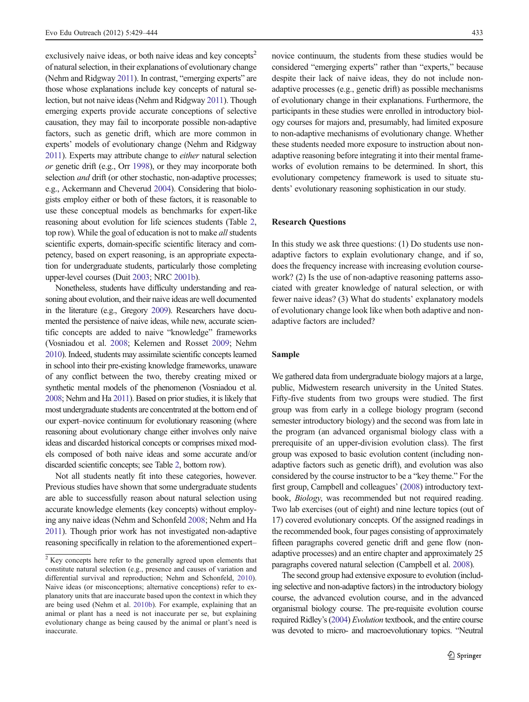exclusively naive ideas, or both naive ideas and key concepts<sup>2</sup> of natural selection, in their explanations of evolutionary change (Nehm and Ridgway [2011\)](#page-14-0). In contrast, "emerging experts" are those whose explanations include key concepts of natural selection, but not naive ideas (Nehm and Ridgway [2011\)](#page-14-0). Though emerging experts provide accurate conceptions of selective causation, they may fail to incorporate possible non-adaptive factors, such as genetic drift, which are more common in experts' models of evolutionary change (Nehm and Ridgway [2011\)](#page-14-0). Experts may attribute change to either natural selection or genetic drift (e.g., Orr [1998](#page-15-0)), or they may incorporate both selection *and* drift (or other stochastic, non-adaptive processes; e.g., Ackermann and Cheverud [2004](#page-13-0)). Considering that biologists employ either or both of these factors, it is reasonable to use these conceptual models as benchmarks for expert-like reasoning about evolution for life sciences students (Table [2,](#page-5-0) top row). While the goal of education is not to make *all* students scientific experts, domain-specific scientific literacy and competency, based on expert reasoning, is an appropriate expectation for undergraduate students, particularly those completing upper-level courses (Duit [2003](#page-14-0); NRC [2001b\)](#page-14-0).

Nonetheless, students have difficulty understanding and reasoning about evolution, and their naive ideas are well documented in the literature (e.g., Gregory [2009](#page-14-0)). Researchers have documented the persistence of naive ideas, while new, accurate scientific concepts are added to naive "knowledge" frameworks (Vosniadou et al. [2008;](#page-15-0) Kelemen and Rosset [2009](#page-14-0); Nehm [2010\)](#page-14-0). Indeed, students may assimilate scientific concepts learned in school into their pre-existing knowledge frameworks, unaware of any conflict between the two, thereby creating mixed or synthetic mental models of the phenomenon (Vosniadou et al. [2008;](#page-15-0) Nehm and Ha [2011\)](#page-14-0). Based on prior studies, it is likely that most undergraduate students are concentrated at the bottom end of our expert–novice continuum for evolutionary reasoning (where reasoning about evolutionary change either involves only naive ideas and discarded historical concepts or comprises mixed models composed of both naive ideas and some accurate and/or discarded scientific concepts; see Table [2,](#page-5-0) bottom row).

Not all students neatly fit into these categories, however. Previous studies have shown that some undergraduate students are able to successfully reason about natural selection using accurate knowledge elements (key concepts) without employing any naive ideas (Nehm and Schonfeld [2008](#page-14-0); Nehm and Ha [2011\)](#page-14-0). Though prior work has not investigated non-adaptive reasoning specifically in relation to the aforementioned expert–

novice continuum, the students from these studies would be considered "emerging experts" rather than "experts," because despite their lack of naive ideas, they do not include nonadaptive processes (e.g., genetic drift) as possible mechanisms of evolutionary change in their explanations. Furthermore, the participants in these studies were enrolled in introductory biology courses for majors and, presumably, had limited exposure to non-adaptive mechanisms of evolutionary change. Whether these students needed more exposure to instruction about nonadaptive reasoning before integrating it into their mental frameworks of evolution remains to be determined. In short, this evolutionary competency framework is used to situate students' evolutionary reasoning sophistication in our study.

#### Research Questions

In this study we ask three questions: (1) Do students use nonadaptive factors to explain evolutionary change, and if so, does the frequency increase with increasing evolution coursework? (2) Is the use of non-adaptive reasoning patterns associated with greater knowledge of natural selection, or with fewer naive ideas? (3) What do students' explanatory models of evolutionary change look like when both adaptive and nonadaptive factors are included?

# Sample

We gathered data from undergraduate biology majors at a large, public, Midwestern research university in the United States. Fifty-five students from two groups were studied. The first group was from early in a college biology program (second semester introductory biology) and the second was from late in the program (an advanced organismal biology class with a prerequisite of an upper-division evolution class). The first group was exposed to basic evolution content (including nonadaptive factors such as genetic drift), and evolution was also considered by the course instructor to be a "key theme." For the first group, Campbell and colleagues' ([2008\)](#page-14-0) introductory textbook, Biology, was recommended but not required reading. Two lab exercises (out of eight) and nine lecture topics (out of 17) covered evolutionary concepts. Of the assigned readings in the recommended book, four pages consisting of approximately fifteen paragraphs covered genetic drift and gene flow (nonadaptive processes) and an entire chapter and approximately 25 paragraphs covered natural selection (Campbell et al. [2008](#page-14-0)).

The second group had extensive exposure to evolution (including selective and non-adaptive factors) in the introductory biology course, the advanced evolution course, and in the advanced organismal biology course. The pre-requisite evolution course required Ridley's [\(2004\)](#page-15-0) Evolution textbook, and the entire course was devoted to micro- and macroevolutionary topics. "Neutral

<sup>&</sup>lt;sup>2</sup> Key concepts here refer to the generally agreed upon elements that constitute natural selection (e.g., presence and causes of variation and differential survival and reproduction; Nehm and Schonfeld, [2010](#page-14-0)). Naive ideas (or misconceptions; alternative conceptions) refer to explanatory units that are inaccurate based upon the context in which they are being used (Nehm et al. [2010b](#page-15-0)). For example, explaining that an animal or plant has a need is not inaccurate per se, but explaining evolutionary change as being caused by the animal or plant's need is inaccurate.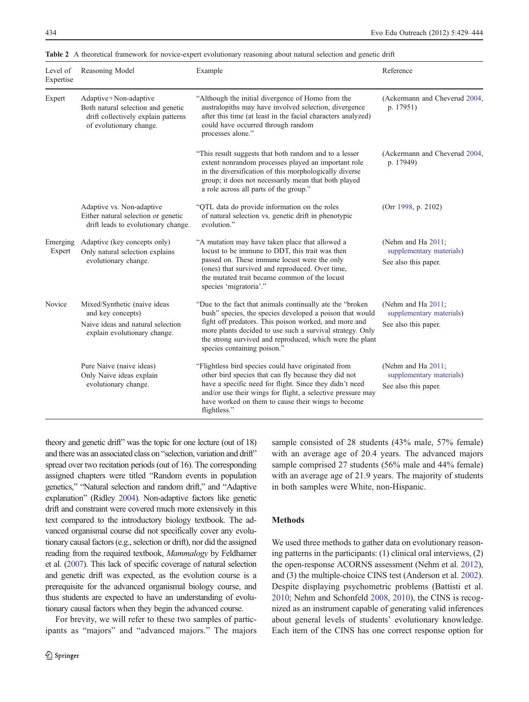| Level of<br>Expertise | Reasoning Model                                                                                                               | Example                                                                                                                                                                                                                                                                                                                                 | Reference                                                              |
|-----------------------|-------------------------------------------------------------------------------------------------------------------------------|-----------------------------------------------------------------------------------------------------------------------------------------------------------------------------------------------------------------------------------------------------------------------------------------------------------------------------------------|------------------------------------------------------------------------|
| Expert                | Adaptive+Non-adaptive<br>Both natural selection and genetic<br>drift collectively explain patterns<br>of evolutionary change. | "Although the initial divergence of Homo from the<br>australopiths may have involved selection, divergence<br>after this time (at least in the facial characters analyzed)<br>could have occurred through random<br>processes alone."                                                                                                   | (Ackermann and Cheverud 2004,<br>p. 17951)                             |
|                       |                                                                                                                               | "This result suggests that both random and to a lesser<br>extent nonrandom processes played an important role<br>in the diversification of this morphologically diverse<br>group; it does not necessarily mean that both played<br>a role across all parts of the group."                                                               | (Ackermann and Cheverud 2004,<br>p. 17949)                             |
|                       | Adaptive vs. Non-adaptive<br>Either natural selection or genetic<br>drift leads to evolutionary change.                       | "QTL data do provide information on the roles<br>of natural selection vs. genetic drift in phenotypic<br>evolution."                                                                                                                                                                                                                    | (Orr 1998, p. 2102)                                                    |
| Emerging<br>Expert    | Adaptive (key concepts only)<br>Only natural selection explains<br>evolutionary change.                                       | "A mutation may have taken place that allowed a<br>locust to be immune to DDT, this trait was then<br>passed on. These immune locust were the only<br>(ones) that survived and reproduced. Over time,<br>the mutated trait became common of the locust<br>species 'migratoria'."                                                        | (Nehm and Ha 2011;<br>supplementary materials)<br>See also this paper. |
| Novice                | Mixed/Synthetic (naive ideas<br>and key concepts)<br>Naive ideas and natural selection<br>explain evolutionary change.        | "Due to the fact that animals continually ate the "broken"<br>bush" species, the species developed a poison that would<br>fight off predators. This poison worked, and more and<br>more plants decided to use such a survival strategy. Only<br>the strong survived and reproduced, which were the plant<br>species containing poison." | (Nehm and Ha 2011;<br>supplementary materials)<br>See also this paper. |
|                       | Pure Naive (naive ideas)<br>Only Naive ideas explain<br>evolutionary change.                                                  | "Flightless bird species could have originated from<br>other bird species that can fly because they did not<br>have a specific need for flight. Since they didn't need<br>and/or use their wings for flight, a selective pressure may<br>have worked on them to cause their wings to become<br>flightless."                             | (Nehm and Ha 2011;<br>supplementary materials)<br>See also this paper. |

<span id="page-5-0"></span>Table 2 A theoretical framework for novice-expert evolutionary reasoning about natural selection and genetic drift

theory and genetic drift" was the topic for one lecture (out of 18) and there was an associated class on "selection, variation and drift" spread over two recitation periods (out of 16). The corresponding assigned chapters were titled "Random events in population genetics," "Natural selection and random drift," and "Adaptive explanation" (Ridley [2004](#page-15-0)). Non-adaptive factors like genetic drift and constraint were covered much more extensively in this text compared to the introductory biology textbook. The advanced organismal course did not specifically cover any evolutionary causal factors (e.g., selection or drift), nor did the assigned reading from the required textbook, Mammalogy by Feldhamer et al. [\(2007\)](#page-14-0). This lack of specific coverage of natural selection and genetic drift was expected, as the evolution course is a prerequisite for the advanced organismal biology course, and thus students are expected to have an understanding of evolutionary causal factors when they begin the advanced course.

For brevity, we will refer to these two samples of participants as "majors" and "advanced majors." The majors sample consisted of 28 students (43% male, 57% female) with an average age of 20.4 years. The advanced majors sample comprised 27 students (56% male and 44% female) with an average age of 21.9 years. The majority of students in both samples were White, non-Hispanic.

## **Methods**

We used three methods to gather data on evolutionary reasoning patterns in the participants: (1) clinical oral interviews, (2) the open-response ACORNS assessment (Nehm et al. [2012\)](#page-15-0), and (3) the multiple-choice CINS test (Anderson et al. [2002\)](#page-13-0). Despite displaying psychometric problems (Battisti et al. [2010;](#page-14-0) Nehm and Schonfeld [2008,](#page-14-0) [2010\)](#page-14-0), the CINS is recognized as an instrument capable of generating valid inferences about general levels of students' evolutionary knowledge. Each item of the CINS has one correct response option for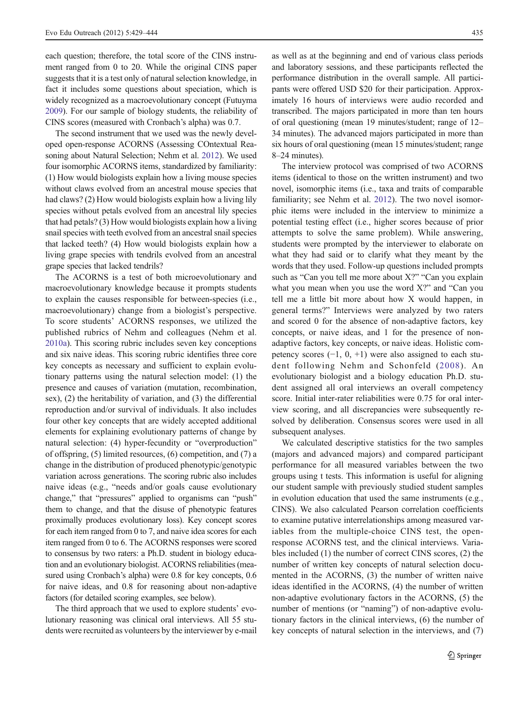each question; therefore, the total score of the CINS instrument ranged from 0 to 20. While the original CINS paper suggests that it is a test only of natural selection knowledge, in fact it includes some questions about speciation, which is widely recognized as a macroevolutionary concept (Futuyma [2009\)](#page-14-0). For our sample of biology students, the reliability of CINS scores (measured with Cronbach's alpha) was 0.7.

The second instrument that we used was the newly developed open-response ACORNS (Assessing COntextual Reasoning about Natural Selection; Nehm et al. [2012\)](#page-15-0). We used four isomorphic ACORNS items, standardized by familiarity: (1) How would biologists explain how a living mouse species without claws evolved from an ancestral mouse species that had claws? (2) How would biologists explain how a living lily species without petals evolved from an ancestral lily species that had petals? (3) How would biologists explain how a living snail species with teeth evolved from an ancestral snail species that lacked teeth? (4) How would biologists explain how a living grape species with tendrils evolved from an ancestral grape species that lacked tendrils?

The ACORNS is a test of both microevolutionary and macroevolutionary knowledge because it prompts students to explain the causes responsible for between-species (i.e., macroevolutionary) change from a biologist's perspective. To score students' ACORNS responses, we utilized the published rubrics of Nehm and colleagues (Nehm et al. [2010a](#page-15-0)). This scoring rubric includes seven key conceptions and six naive ideas. This scoring rubric identifies three core key concepts as necessary and sufficient to explain evolutionary patterns using the natural selection model: (1) the presence and causes of variation (mutation, recombination, sex), (2) the heritability of variation, and (3) the differential reproduction and/or survival of individuals. It also includes four other key concepts that are widely accepted additional elements for explaining evolutionary patterns of change by natural selection: (4) hyper-fecundity or "overproduction" of offspring, (5) limited resources, (6) competition, and (7) a change in the distribution of produced phenotypic/genotypic variation across generations. The scoring rubric also includes naive ideas (e.g., "needs and/or goals cause evolutionary change," that "pressures" applied to organisms can "push" them to change, and that the disuse of phenotypic features proximally produces evolutionary loss). Key concept scores for each item ranged from 0 to 7, and naive idea scores for each item ranged from 0 to 6. The ACORNS responses were scored to consensus by two raters: a Ph.D. student in biology education and an evolutionary biologist. ACORNS reliabilities (measured using Cronbach's alpha) were 0.8 for key concepts, 0.6 for naive ideas, and 0.8 for reasoning about non-adaptive factors (for detailed scoring examples, see below).

The third approach that we used to explore students' evolutionary reasoning was clinical oral interviews. All 55 students were recruited as volunteers by the interviewer by e-mail as well as at the beginning and end of various class periods and laboratory sessions, and these participants reflected the performance distribution in the overall sample. All participants were offered USD \$20 for their participation. Approximately 16 hours of interviews were audio recorded and transcribed. The majors participated in more than ten hours of oral questioning (mean 19 minutes/student; range of 12– 34 minutes). The advanced majors participated in more than six hours of oral questioning (mean 15 minutes/student; range 8–24 minutes).

The interview protocol was comprised of two ACORNS items (identical to those on the written instrument) and two novel, isomorphic items (i.e., taxa and traits of comparable familiarity; see Nehm et al. [2012](#page-15-0)). The two novel isomorphic items were included in the interview to minimize a potential testing effect (i.e., higher scores because of prior attempts to solve the same problem). While answering, students were prompted by the interviewer to elaborate on what they had said or to clarify what they meant by the words that they used. Follow-up questions included prompts such as "Can you tell me more about X?" "Can you explain what you mean when you use the word X?" and "Can you tell me a little bit more about how X would happen, in general terms?" Interviews were analyzed by two raters and scored 0 for the absence of non-adaptive factors, key concepts, or naive ideas, and 1 for the presence of nonadaptive factors, key concepts, or naive ideas. Holistic competency scores  $(-1, 0, +1)$  were also assigned to each student following Nehm and Schonfeld ([2008\)](#page-14-0). An evolutionary biologist and a biology education Ph.D. student assigned all oral interviews an overall competency score. Initial inter-rater reliabilities were 0.75 for oral interview scoring, and all discrepancies were subsequently resolved by deliberation. Consensus scores were used in all subsequent analyses.

We calculated descriptive statistics for the two samples (majors and advanced majors) and compared participant performance for all measured variables between the two groups using t tests. This information is useful for aligning our student sample with previously studied student samples in evolution education that used the same instruments (e.g., CINS). We also calculated Pearson correlation coefficients to examine putative interrelationships among measured variables from the multiple-choice CINS test, the openresponse ACORNS test, and the clinical interviews. Variables included (1) the number of correct CINS scores, (2) the number of written key concepts of natural selection documented in the ACORNS, (3) the number of written naive ideas identified in the ACORNS, (4) the number of written non-adaptive evolutionary factors in the ACORNS, (5) the number of mentions (or "naming") of non-adaptive evolutionary factors in the clinical interviews, (6) the number of key concepts of natural selection in the interviews, and (7)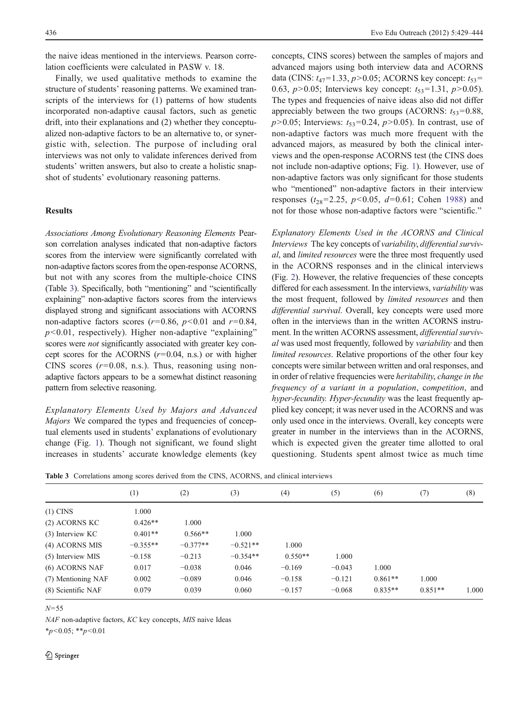the naive ideas mentioned in the interviews. Pearson correlation coefficients were calculated in PASW v. 18.

Finally, we used qualitative methods to examine the structure of students' reasoning patterns. We examined transcripts of the interviews for (1) patterns of how students incorporated non-adaptive causal factors, such as genetic drift, into their explanations and (2) whether they conceptualized non-adaptive factors to be an alternative to, or synergistic with, selection. The purpose of including oral interviews was not only to validate inferences derived from students' written answers, but also to create a holistic snapshot of students' evolutionary reasoning patterns.

#### Results

Associations Among Evolutionary Reasoning Elements Pearson correlation analyses indicated that non-adaptive factors scores from the interview were significantly correlated with non-adaptive factors scores from the open-response ACORNS, but not with any scores from the multiple-choice CINS (Table 3). Specifically, both "mentioning" and "scientifically explaining" non-adaptive factors scores from the interviews displayed strong and significant associations with ACORNS non-adaptive factors scores ( $r=0.86$ ,  $p<0.01$  and  $r=0.84$ ,  $p<0.01$ , respectively). Higher non-adaptive "explaining" scores were *not* significantly associated with greater key concept scores for the ACORNS  $(r=0.04, n.s.)$  or with higher CINS scores  $(r=0.08, n.s.).$  Thus, reasoning using nonadaptive factors appears to be a somewhat distinct reasoning pattern from selective reasoning.

Explanatory Elements Used by Majors and Advanced Majors We compared the types and frequencies of conceptual elements used in students' explanations of evolutionary change (Fig. [1](#page-8-0)). Though not significant, we found slight increases in students' accurate knowledge elements (key concepts, CINS scores) between the samples of majors and advanced majors using both interview data and ACORNS data (CINS:  $t_{47}$ =1.33, p>0.05; ACORNS key concept:  $t_{53}$ = 0.63,  $p > 0.05$ ; Interviews key concept:  $t_{53} = 1.31$ ,  $p > 0.05$ ). The types and frequencies of naive ideas also did not differ appreciably between the two groups (ACORNS:  $t_{53}=0.88$ ,  $p > 0.05$ ; Interviews:  $t_{53} = 0.24$ ,  $p > 0.05$ ). In contrast, use of non-adaptive factors was much more frequent with the advanced majors, as measured by both the clinical interviews and the open-response ACORNS test (the CINS does not include non-adaptive options; Fig. [1\)](#page-8-0). However, use of non-adaptive factors was only significant for those students who "mentioned" non-adaptive factors in their interview responses ( $t_{28}$ =2.25, p<0.05, d=0.61; Cohen [1988\)](#page-14-0) and not for those whose non-adaptive factors were "scientific."

Explanatory Elements Used in the ACORNS and Clinical Interviews The key concepts of variability, differential survival, and limited resources were the three most frequently used in the ACORNS responses and in the clinical interviews (Fig. [2\)](#page-8-0). However, the relative frequencies of these concepts differed for each assessment. In the interviews, variability was the most frequent, followed by limited resources and then differential survival. Overall, key concepts were used more often in the interviews than in the written ACORNS instrument. In the written ACORNS assessment, differential survival was used most frequently, followed by variability and then limited resources. Relative proportions of the other four key concepts were similar between written and oral responses, and in order of relative frequencies were heritability, change in the frequency of a variant in a population, competition, and hyper-fecundity. Hyper-fecundity was the least frequently applied key concept; it was never used in the ACORNS and was only used once in the interviews. Overall, key concepts were greater in number in the interviews than in the ACORNS, which is expected given the greater time allotted to oral questioning. Students spent almost twice as much time

Table 3 Correlations among scores derived from the CINS, ACORNS, and clinical interviews

|                    | (1)        | (2)        | (3)        | (4)       | (5)      | (6)       | (7)       | (8)   |
|--------------------|------------|------------|------------|-----------|----------|-----------|-----------|-------|
| $(1)$ CINS         | 1.000      |            |            |           |          |           |           |       |
| (2) ACORNS KC      | $0.426**$  | 1.000      |            |           |          |           |           |       |
| $(3)$ Interview KC | $0.401**$  | $0.566**$  | 1.000      |           |          |           |           |       |
| (4) ACORNS MIS     | $-0.355**$ | $-0.377**$ | $-0.521**$ | 1.000     |          |           |           |       |
| (5) Interview MIS  | $-0.158$   | $-0.213$   | $-0.354**$ | $0.550**$ | 1.000    |           |           |       |
| (6) ACORNS NAF     | 0.017      | $-0.038$   | 0.046      | $-0.169$  | $-0.043$ | 1.000     |           |       |
| (7) Mentioning NAF | 0.002      | $-0.089$   | 0.046      | $-0.158$  | $-0.121$ | $0.861**$ | 1.000     |       |
| (8) Scientific NAF | 0.079      | 0.039      | 0.060      | $-0.157$  | $-0.068$ | $0.835**$ | $0.851**$ | 1.000 |
|                    |            |            |            |           |          |           |           |       |

 $N=55$ 

NAF non-adaptive factors, KC key concepts, MIS naive Ideas  $*_{p<0.05}$ ;  $*_{p<0.01}$ 

<u>�</u> Springer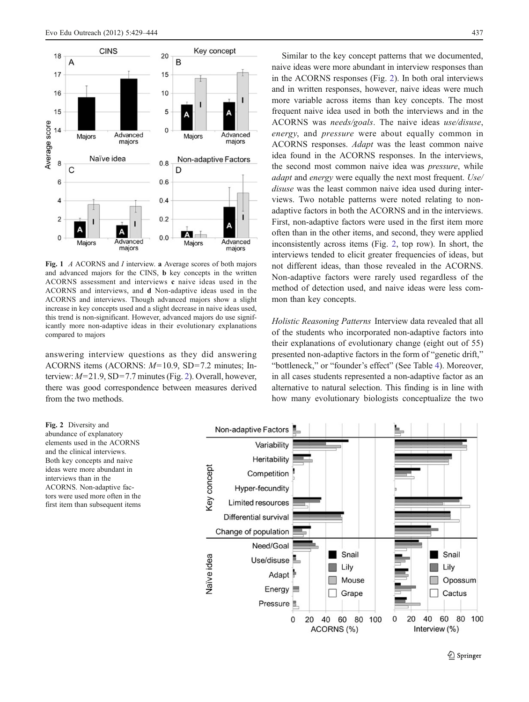<span id="page-8-0"></span>

Fig. 1 A ACORNS and *I* interview. a Average scores of both majors and advanced majors for the CINS, b key concepts in the written ACORNS assessment and interviews c naive ideas used in the ACORNS and interviews, and d Non-adaptive ideas used in the ACORNS and interviews. Though advanced majors show a slight increase in key concepts used and a slight decrease in naive ideas used, this trend is non-significant. However, advanced majors do use significantly more non-adaptive ideas in their evolutionary explanations compared to majors

answering interview questions as they did answering ACORNS items (ACORNS:  $M=10.9$ , SD=7.2 minutes; Interview:  $M=21.9$ , SD=7.7 minutes (Fig. 2). Overall, however, there was good correspondence between measures derived from the two methods.

Similar to the key concept patterns that we documented, naive ideas were more abundant in interview responses than in the ACORNS responses (Fig. 2). In both oral interviews and in written responses, however, naive ideas were much more variable across items than key concepts. The most frequent naive idea used in both the interviews and in the ACORNS was needs/goals. The naive ideas use/disuse, energy, and pressure were about equally common in ACORNS responses. Adapt was the least common naive idea found in the ACORNS responses. In the interviews, the second most common naive idea was pressure, while adapt and energy were equally the next most frequent. Use/ disuse was the least common naive idea used during interviews. Two notable patterns were noted relating to nonadaptive factors in both the ACORNS and in the interviews. First, non-adaptive factors were used in the first item more often than in the other items, and second, they were applied inconsistently across items (Fig. 2, top row). In short, the interviews tended to elicit greater frequencies of ideas, but not different ideas, than those revealed in the ACORNS. Non-adaptive factors were rarely used regardless of the method of detection used, and naive ideas were less common than key concepts.

Holistic Reasoning Patterns Interview data revealed that all of the students who incorporated non-adaptive factors into their explanations of evolutionary change (eight out of 55) presented non-adaptive factors in the form of "genetic drift," "bottleneck," or "founder's effect" (See Table [4\)](#page-9-0). Moreover, in all cases students represented a non-adaptive factor as an alternative to natural selection. This finding is in line with how many evolutionary biologists conceptualize the two

Fig. 2 Diversity and abundance of explanatory elements used in the ACORNS and the clinical interviews. Both key concepts and naive ideas were more abundant in interviews than in the ACORNS. Non-adaptive factors were used more often in the first item than subsequent items

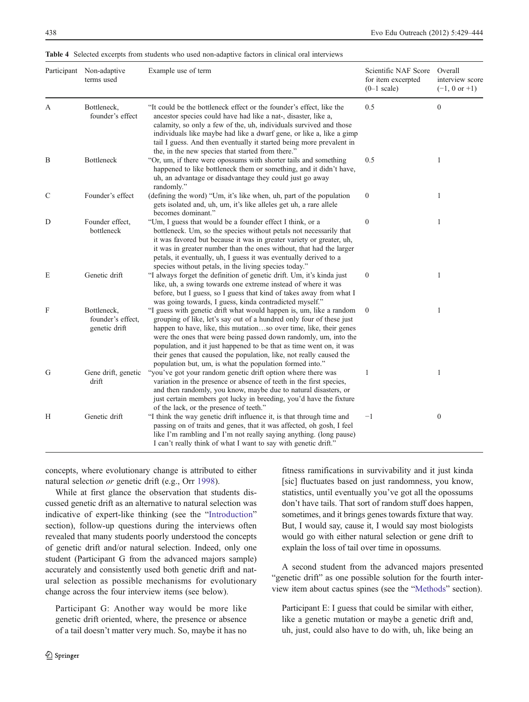|   | Participant Non-adaptive<br>terms used            | Example use of term                                                                                                                                                                                                                                                                                                                                                                                                                                                                             | Scientific NAF Score<br>for item excerpted<br>$(0-1)$ scale) | Overall<br>interview score<br>$(-1, 0 \text{ or } +1)$ |
|---|---------------------------------------------------|-------------------------------------------------------------------------------------------------------------------------------------------------------------------------------------------------------------------------------------------------------------------------------------------------------------------------------------------------------------------------------------------------------------------------------------------------------------------------------------------------|--------------------------------------------------------------|--------------------------------------------------------|
| А | Bottleneck,<br>founder's effect                   | "It could be the bottleneck effect or the founder's effect, like the<br>ancestor species could have had like a nat-, disaster, like a,<br>calamity, so only a few of the, uh, individuals survived and those<br>individuals like maybe had like a dwarf gene, or like a, like a gimp<br>tail I guess. And then eventually it started being more prevalent in<br>the, in the new species that started from there."                                                                               | 0.5                                                          | $\boldsymbol{0}$                                       |
| Β | <b>Bottleneck</b>                                 | "Or, um, if there were opossums with shorter tails and something<br>happened to like bottleneck them or something, and it didn't have,<br>uh, an advantage or disadvantage they could just go away<br>randomly."                                                                                                                                                                                                                                                                                | 0.5                                                          | 1                                                      |
| С | Founder's effect                                  | (defining the word) "Um, it's like when, uh, part of the population<br>gets isolated and, uh, um, it's like alleles get uh, a rare allele<br>becomes dominant."                                                                                                                                                                                                                                                                                                                                 | $\boldsymbol{0}$                                             | 1                                                      |
| D | Founder effect,<br>bottleneck                     | "Um, I guess that would be a founder effect I think, or a<br>bottleneck. Um, so the species without petals not necessarily that<br>it was favored but because it was in greater variety or greater, uh,<br>it was in greater number than the ones without, that had the larger<br>petals, it eventually, uh, I guess it was eventually derived to a<br>species without petals, in the living species today."                                                                                    | $\boldsymbol{0}$                                             | $\mathbf{1}$                                           |
| E | Genetic drift                                     | "I always forget the definition of genetic drift. Um, it's kinda just<br>like, uh, a swing towards one extreme instead of where it was<br>before, but I guess, so I guess that kind of takes away from what I<br>was going towards, I guess, kinda contradicted myself."                                                                                                                                                                                                                        | $\mathbf{0}$                                                 | $\mathbf{1}$                                           |
| F | Bottleneck,<br>founder's effect,<br>genetic drift | "I guess with genetic drift what would happen is, um, like a random<br>grouping of like, let's say out of a hundred only four of these just<br>happen to have, like, this mutationso over time, like, their genes<br>were the ones that were being passed down randomly, um, into the<br>population, and it just happened to be that as time went on, it was<br>their genes that caused the population, like, not really caused the<br>population but, um, is what the population formed into." | $\mathbf{0}$                                                 | 1                                                      |
| G | Gene drift, genetic<br>drift                      | "you've got your random genetic drift option where there was<br>variation in the presence or absence of teeth in the first species,<br>and then randomly, you know, maybe due to natural disasters, or<br>just certain members got lucky in breeding, you'd have the fixture<br>of the lack, or the presence of teeth."                                                                                                                                                                         | 1                                                            | 1                                                      |
| Н | Genetic drift                                     | "I think the way genetic drift influence it, is that through time and<br>passing on of traits and genes, that it was affected, oh gosh, I feel<br>like I'm rambling and I'm not really saying anything. (long pause)<br>I can't really think of what I want to say with genetic drift."                                                                                                                                                                                                         | $-1$                                                         | $\boldsymbol{0}$                                       |

<span id="page-9-0"></span>Table 4 Selected excerpts from students who used non-adaptive factors in clinical oral interviews

concepts, where evolutionary change is attributed to either natural selection or genetic drift (e.g., Orr [1998](#page-15-0)).

While at first glance the observation that students discussed genetic drift as an alternative to natural selection was indicative of expert-like thinking (see the "[Introduction](#page-0-0)" section), follow-up questions during the interviews often revealed that many students poorly understood the concepts of genetic drift and/or natural selection. Indeed, only one student (Participant G from the advanced majors sample) accurately and consistently used both genetic drift and natural selection as possible mechanisms for evolutionary change across the four interview items (see below).

Participant G: Another way would be more like genetic drift oriented, where, the presence or absence of a tail doesn't matter very much. So, maybe it has no

fitness ramifications in survivability and it just kinda [sic] fluctuates based on just randomness, you know, statistics, until eventually you've got all the opossums don't have tails. That sort of random stuff does happen, sometimes, and it brings genes towards fixture that way. But, I would say, cause it, I would say most biologists would go with either natural selection or gene drift to explain the loss of tail over time in opossums.

A second student from the advanced majors presented "genetic drift" as one possible solution for the fourth interview item about cactus spines (see the "[Methods](#page-5-0)" section).

Participant E: I guess that could be similar with either, like a genetic mutation or maybe a genetic drift and, uh, just, could also have to do with, uh, like being an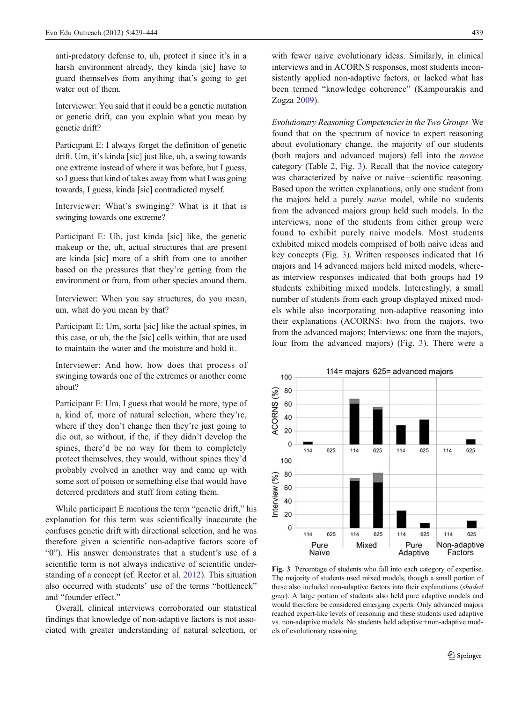<span id="page-10-0"></span>anti-predatory defense to, uh, protect it since it's in a harsh environment already, they kinda [sic] have to guard themselves from anything that's going to get water out of them.

Interviewer: You said that it could be a genetic mutation or genetic drift, can you explain what you mean by genetic drift?

Participant E: I always forget the definition of genetic drift. Um, it's kinda [sic] just like, uh, a swing towards one extreme instead of where it was before, but I guess, so I guess that kind of takes away from what I was going towards, I guess, kinda [sic] contradicted myself.

Interviewer: What's swinging? What is it that is swinging towards one extreme?

Participant E: Uh, just kinda [sic] like, the genetic makeup or the, uh, actual structures that are present are kinda [sic] more of a shift from one to another based on the pressures that they're getting from the environment or from, from other species around them.

Interviewer: When you say structures, do you mean, um, what do you mean by that?

Participant E: Um, sorta [sic] like the actual spines, in this case, or uh, the the [sic] cells within, that are used to maintain the water and the moisture and hold it.

Interviewer: And how, how does that process of swinging towards one of the extremes or another come about?

Participant E: Um, I guess that would be more, type of a, kind of, more of natural selection, where they're, where if they don't change then they're just going to die out, so without, if the, if they didn't develop the spines, there'd be no way for them to completely protect themselves, they would, without spines they'd probably evolved in another way and came up with some sort of poison or something else that would have deterred predators and stuff from eating them.

While participant E mentions the term "genetic drift," his explanation for this term was scientifically inaccurate (he confuses genetic drift with directional selection, and he was therefore given a scientific non-adaptive factors score of "0"). His answer demonstrates that a student's use of a scientific term is not always indicative of scientific understanding of a concept (cf. Rector et al. [2012](#page-15-0)). This situation also occurred with students' use of the terms "bottleneck" and "founder effect."

Overall, clinical interviews corroborated our statistical findings that knowledge of non-adaptive factors is not associated with greater understanding of natural selection, or

with fewer naive evolutionary ideas. Similarly, in clinical interviews and in ACORNS responses, most students inconsistently applied non-adaptive factors, or lacked what has been termed "knowledge coherence" (Kampourakis and Zogza [2009\)](#page-14-0).

Evolutionary Reasoning Competencies in the Two Groups We found that on the spectrum of novice to expert reasoning about evolutionary change, the majority of our students (both majors and advanced majors) fell into the novice category (Table [2](#page-5-0), Fig. 3). Recall that the novice category was characterized by naive or naive+scientific reasoning. Based upon the written explanations, only one student from the majors held a purely naive model, while no students from the advanced majors group held such models. In the interviews, none of the students from either group were found to exhibit purely naive models. Most students exhibited mixed models comprised of both naive ideas and key concepts (Fig. 3). Written responses indicated that 16 majors and 14 advanced majors held mixed models, whereas interview responses indicated that both groups had 19 students exhibiting mixed models. Interestingly, a small number of students from each group displayed mixed models while also incorporating non-adaptive reasoning into their explanations (ACORNS: two from the majors, two from the advanced majors; Interviews: one from the majors, four from the advanced majors) (Fig. 3). There were a



Fig. 3 Percentage of students who fall into each category of expertise. The majority of students used mixed models, though a small portion of these also included non-adaptive factors into their explanations (shaded gray). A large portion of students also held pure adaptive models and would therefore be considered emerging experts. Only advanced majors reached expert-like levels of reasoning and these students used adaptive vs. non-adaptive models. No students held adaptive+non-adaptive models of evolutionary reasoning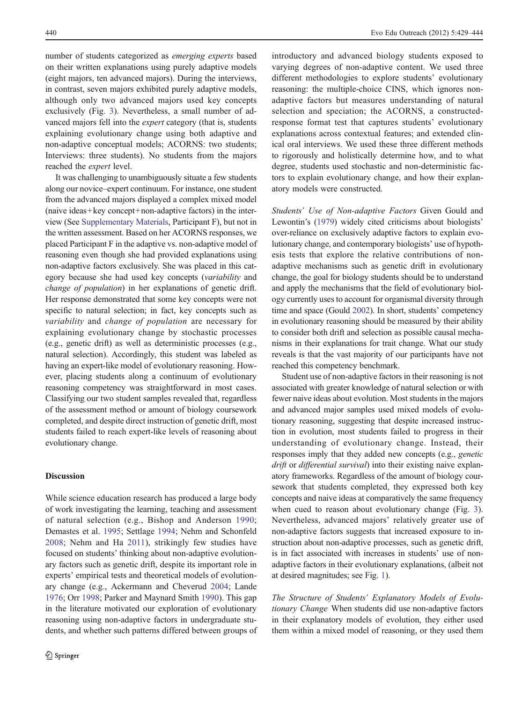number of students categorized as emerging experts based on their written explanations using purely adaptive models (eight majors, ten advanced majors). During the interviews, in contrast, seven majors exhibited purely adaptive models, although only two advanced majors used key concepts exclusively (Fig. [3](#page-10-0)). Nevertheless, a small number of advanced majors fell into the expert category (that is, students explaining evolutionary change using both adaptive and non-adaptive conceptual models; ACORNS: two students; Interviews: three students). No students from the majors reached the expert level.

It was challenging to unambiguously situate a few students along our novice–expert continuum. For instance, one student from the advanced majors displayed a complex mixed model (naive ideas+key concept+non-adaptive factors) in the interview (See Supplementary Materials, Participant F), but not in the written assessment. Based on her ACORNS responses, we placed Participant F in the adaptive vs. non-adaptive model of reasoning even though she had provided explanations using non-adaptive factors exclusively. She was placed in this category because she had used key concepts (variability and change of population) in her explanations of genetic drift. Her response demonstrated that some key concepts were not specific to natural selection; in fact, key concepts such as variability and change of population are necessary for explaining evolutionary change by stochastic processes (e.g., genetic drift) as well as deterministic processes (e.g., natural selection). Accordingly, this student was labeled as having an expert-like model of evolutionary reasoning. However, placing students along a continuum of evolutionary reasoning competency was straightforward in most cases. Classifying our two student samples revealed that, regardless of the assessment method or amount of biology coursework completed, and despite direct instruction of genetic drift, most students failed to reach expert-like levels of reasoning about evolutionary change.

## **Discussion**

While science education research has produced a large body of work investigating the learning, teaching and assessment of natural selection (e.g., Bishop and Anderson [1990](#page-14-0); Demastes et al. [1995](#page-14-0); Settlage [1994](#page-15-0); Nehm and Schonfeld [2008](#page-14-0); Nehm and Ha [2011\)](#page-14-0), strikingly few studies have focused on students' thinking about non-adaptive evolutionary factors such as genetic drift, despite its important role in experts' empirical tests and theoretical models of evolutionary change (e.g., Ackermann and Cheverud [2004](#page-13-0); Lande [1976;](#page-14-0) Orr [1998](#page-15-0); Parker and Maynard Smith [1990\)](#page-15-0). This gap in the literature motivated our exploration of evolutionary reasoning using non-adaptive factors in undergraduate students, and whether such patterns differed between groups of

introductory and advanced biology students exposed to varying degrees of non-adaptive content. We used three different methodologies to explore students' evolutionary reasoning: the multiple-choice CINS, which ignores nonadaptive factors but measures understanding of natural selection and speciation; the ACORNS, a constructedresponse format test that captures students' evolutionary explanations across contextual features; and extended clinical oral interviews. We used these three different methods to rigorously and holistically determine how, and to what degree, students used stochastic and non-deterministic factors to explain evolutionary change, and how their explanatory models were constructed.

Students' Use of Non-adaptive Factors Given Gould and Lewontin's ([1979](#page-14-0)) widely cited criticisms about biologists' over-reliance on exclusively adaptive factors to explain evolutionary change, and contemporary biologists' use of hypothesis tests that explore the relative contributions of nonadaptive mechanisms such as genetic drift in evolutionary change, the goal for biology students should be to understand and apply the mechanisms that the field of evolutionary biology currently uses to account for organismal diversity through time and space (Gould [2002\)](#page-14-0). In short, students' competency in evolutionary reasoning should be measured by their ability to consider both drift and selection as possible causal mechanisms in their explanations for trait change. What our study reveals is that the vast majority of our participants have not reached this competency benchmark.

Student use of non-adaptive factors in their reasoning is not associated with greater knowledge of natural selection or with fewer naive ideas about evolution. Most students in the majors and advanced major samples used mixed models of evolutionary reasoning, suggesting that despite increased instruction in evolution, most students failed to progress in their understanding of evolutionary change. Instead, their responses imply that they added new concepts (e.g., genetic drift or differential survival) into their existing naive explanatory frameworks. Regardless of the amount of biology coursework that students completed, they expressed both key concepts and naive ideas at comparatively the same frequency when cued to reason about evolutionary change (Fig. [3\)](#page-10-0). Nevertheless, advanced majors' relatively greater use of non-adaptive factors suggests that increased exposure to instruction about non-adaptive processes, such as genetic drift, is in fact associated with increases in students' use of nonadaptive factors in their evolutionary explanations, (albeit not at desired magnitudes; see Fig. [1\)](#page-8-0).

The Structure of Students' Explanatory Models of Evolutionary Change When students did use non-adaptive factors in their explanatory models of evolution, they either used them within a mixed model of reasoning, or they used them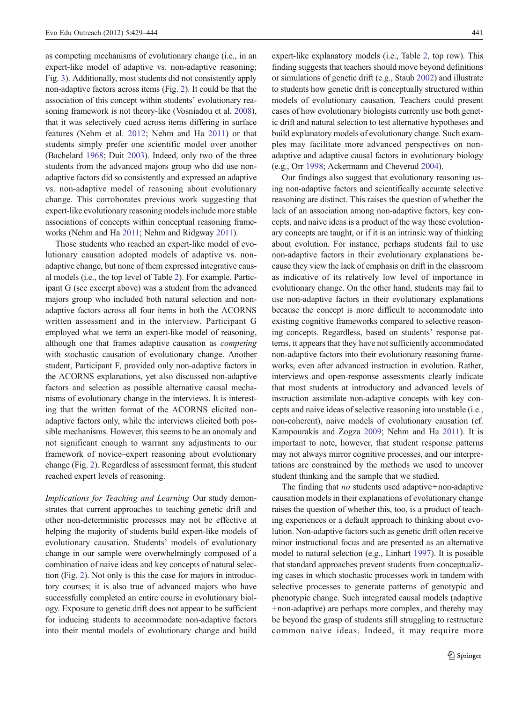as competing mechanisms of evolutionary change (i.e., in an expert-like model of adaptive vs. non-adaptive reasoning; Fig. [3\)](#page-10-0). Additionally, most students did not consistently apply non-adaptive factors across items (Fig. [2](#page-8-0)). It could be that the association of this concept within students' evolutionary reasoning framework is not theory-like (Vosniadou et al. [2008\)](#page-15-0), that it was selectively cued across items differing in surface features (Nehm et al. [2012](#page-15-0); Nehm and Ha [2011](#page-14-0)) or that students simply prefer one scientific model over another (Bachelard [1968](#page-14-0); Duit [2003\)](#page-14-0). Indeed, only two of the three students from the advanced majors group who did use nonadaptive factors did so consistently and expressed an adaptive vs. non-adaptive model of reasoning about evolutionary change. This corroborates previous work suggesting that expert-like evolutionary reasoning models include more stable associations of concepts within conceptual reasoning frameworks (Nehm and Ha [2011](#page-14-0); Nehm and Ridgway [2011\)](#page-14-0).

Those students who reached an expert-like model of evolutionary causation adopted models of adaptive vs. nonadaptive change, but none of them expressed integrative causal models (i.e., the top level of Table [2](#page-5-0)). For example, Participant G (see excerpt above) was a student from the advanced majors group who included both natural selection and nonadaptive factors across all four items in both the ACORNS written assessment and in the interview. Participant G employed what we term an expert-like model of reasoning, although one that frames adaptive causation as competing with stochastic causation of evolutionary change. Another student, Participant F, provided only non-adaptive factors in the ACORNS explanations, yet also discussed non-adaptive factors and selection as possible alternative causal mechanisms of evolutionary change in the interviews. It is interesting that the written format of the ACORNS elicited nonadaptive factors only, while the interviews elicited both possible mechanisms. However, this seems to be an anomaly and not significant enough to warrant any adjustments to our framework of novice–expert reasoning about evolutionary change (Fig. [2](#page-8-0)). Regardless of assessment format, this student reached expert levels of reasoning.

Implications for Teaching and Learning Our study demonstrates that current approaches to teaching genetic drift and other non-deterministic processes may not be effective at helping the majority of students build expert-like models of evolutionary causation. Students' models of evolutionary change in our sample were overwhelmingly composed of a combination of naive ideas and key concepts of natural selection (Fig. [2\)](#page-8-0). Not only is this the case for majors in introductory courses; it is also true of advanced majors who have successfully completed an entire course in evolutionary biology. Exposure to genetic drift does not appear to be sufficient for inducing students to accommodate non-adaptive factors into their mental models of evolutionary change and build

expert-like explanatory models (i.e., Table [2](#page-5-0), top row). This finding suggests that teachers should move beyond definitions or simulations of genetic drift (e.g., Staub [2002\)](#page-15-0) and illustrate to students how genetic drift is conceptually structured within models of evolutionary causation. Teachers could present cases of how evolutionary biologists currently use both genetic drift and natural selection to test alternative hypotheses and build explanatory models of evolutionary change. Such examples may facilitate more advanced perspectives on nonadaptive and adaptive causal factors in evolutionary biology (e.g., Orr [1998;](#page-15-0) Ackermann and Cheverud [2004\)](#page-13-0).

Our findings also suggest that evolutionary reasoning using non-adaptive factors and scientifically accurate selective reasoning are distinct. This raises the question of whether the lack of an association among non-adaptive factors, key concepts, and naive ideas is a product of the way these evolutionary concepts are taught, or if it is an intrinsic way of thinking about evolution. For instance, perhaps students fail to use non-adaptive factors in their evolutionary explanations because they view the lack of emphasis on drift in the classroom as indicative of its relatively low level of importance in evolutionary change. On the other hand, students may fail to use non-adaptive factors in their evolutionary explanations because the concept is more difficult to accommodate into existing cognitive frameworks compared to selective reasoning concepts. Regardless, based on students' response patterns, it appears that they have not sufficiently accommodated non-adaptive factors into their evolutionary reasoning frameworks, even after advanced instruction in evolution. Rather, interviews and open-response assessments clearly indicate that most students at introductory and advanced levels of instruction assimilate non-adaptive concepts with key concepts and naive ideas of selective reasoning into unstable (i.e., non-coherent), naive models of evolutionary causation (cf. Kampourakis and Zogza [2009;](#page-14-0) Nehm and Ha [2011](#page-14-0)). It is important to note, however, that student response patterns may not always mirror cognitive processes, and our interpretations are constrained by the methods we used to uncover student thinking and the sample that we studied.

The finding that *no* students used adaptive+non-adaptive causation models in their explanations of evolutionary change raises the question of whether this, too, is a product of teaching experiences or a default approach to thinking about evolution. Non-adaptive factors such as genetic drift often receive minor instructional focus and are presented as an alternative model to natural selection (e.g., Linhart [1997](#page-14-0)). It is possible that standard approaches prevent students from conceptualizing cases in which stochastic processes work in tandem with selective processes to generate patterns of genotypic and phenotypic change. Such integrated causal models (adaptive +non-adaptive) are perhaps more complex, and thereby may be beyond the grasp of students still struggling to restructure common naive ideas. Indeed, it may require more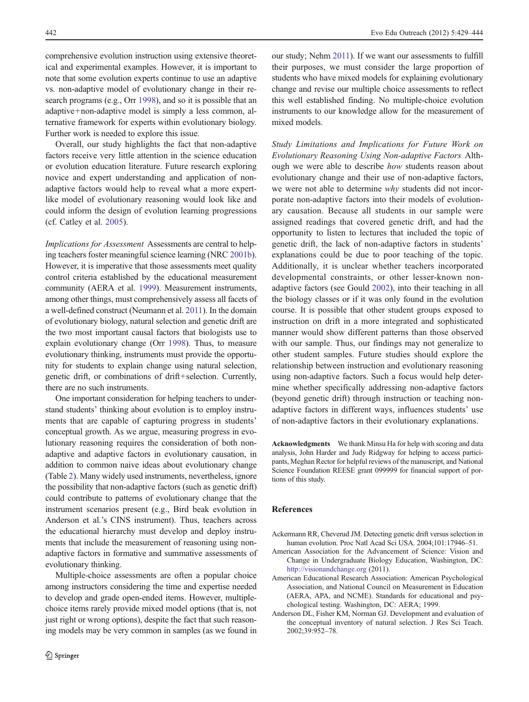<span id="page-13-0"></span>comprehensive evolution instruction using extensive theoretical and experimental examples. However, it is important to note that some evolution experts continue to use an adaptive vs. non-adaptive model of evolutionary change in their research programs (e.g., Orr [1998](#page-15-0)), and so it is possible that an adaptive+non-adaptive model is simply a less common, alternative framework for experts within evolutionary biology. Further work is needed to explore this issue.

Overall, our study highlights the fact that non-adaptive factors receive very little attention in the science education or evolution education literature. Future research exploring novice and expert understanding and application of nonadaptive factors would help to reveal what a more expertlike model of evolutionary reasoning would look like and could inform the design of evolution learning progressions (cf. Catley et al. [2005\)](#page-14-0).

Implications for Assessment Assessments are central to helping teachers foster meaningful science learning (NRC [2001b\)](#page-14-0). However, it is imperative that those assessments meet quality control criteria established by the educational measurement community (AERA et al. 1999). Measurement instruments, among other things, must comprehensively assess all facets of a well-defined construct (Neumann et al. [2011](#page-15-0)). In the domain of evolutionary biology, natural selection and genetic drift are the two most important causal factors that biologists use to explain evolutionary change (Orr [1998](#page-15-0)). Thus, to measure evolutionary thinking, instruments must provide the opportunity for students to explain change using natural selection, genetic drift, or combinations of drift+selection. Currently, there are no such instruments.

One important consideration for helping teachers to understand students' thinking about evolution is to employ instruments that are capable of capturing progress in students' conceptual growth. As we argue, measuring progress in evolutionary reasoning requires the consideration of both nonadaptive and adaptive factors in evolutionary causation, in addition to common naive ideas about evolutionary change (Table [2](#page-5-0)). Many widely used instruments, nevertheless, ignore the possibility that non-adaptive factors (such as genetic drift) could contribute to patterns of evolutionary change that the instrument scenarios present (e.g., Bird beak evolution in Anderson et al.'s CINS instrument). Thus, teachers across the educational hierarchy must develop and deploy instruments that include the measurement of reasoning using nonadaptive factors in formative and summative assessments of evolutionary thinking.

Multiple-choice assessments are often a popular choice among instructors considering the time and expertise needed to develop and grade open-ended items. However, multiplechoice items rarely provide mixed model options (that is, not just right or wrong options), despite the fact that such reasoning models may be very common in samples (as we found in

our study; Nehm [2011](#page-14-0)). If we want our assessments to fulfill their purposes, we must consider the large proportion of students who have mixed models for explaining evolutionary change and revise our multiple choice assessments to reflect this well established finding. No multiple-choice evolution instruments to our knowledge allow for the measurement of mixed models.

Study Limitations and Implications for Future Work on Evolutionary Reasoning Using Non-adaptive Factors Although we were able to describe how students reason about evolutionary change and their use of non-adaptive factors, we were not able to determine why students did not incorporate non-adaptive factors into their models of evolutionary causation. Because all students in our sample were assigned readings that covered genetic drift, and had the opportunity to listen to lectures that included the topic of genetic drift, the lack of non-adaptive factors in students' explanations could be due to poor teaching of the topic. Additionally, it is unclear whether teachers incorporated developmental constraints, or other lesser-known nonadaptive factors (see Gould [2002](#page-14-0)), into their teaching in all the biology classes or if it was only found in the evolution course. It is possible that other student groups exposed to instruction on drift in a more integrated and sophisticated manner would show different patterns than those observed with our sample. Thus, our findings may not generalize to other student samples. Future studies should explore the relationship between instruction and evolutionary reasoning using non-adaptive factors. Such a focus would help determine whether specifically addressing non-adaptive factors (beyond genetic drift) through instruction or teaching nonadaptive factors in different ways, influences students' use of non-adaptive factors in their evolutionary explanations.

Acknowledgments We thank Minsu Ha for help with scoring and data analysis, John Harder and Judy Ridgway for helping to access participants, Meghan Rector for helpful reviews of the manuscript, and National Science Foundation REESE grant 099999 for financial support of portions of this study.

#### References

- Ackermann RR, Cheverud JM. Detecting genetic drift versus selection in human evolution. Proc Natl Acad Sci USA. 2004;101:17946–51.
- American Association for the Advancement of Science: Vision and Change in Undergraduate Biology Education, Washington, DC: <http://visionandchange.org> (2011).
- American Educational Research Association: American Psychological Association, and National Council on Measurement in Education (AERA, APA, and NCME). Standards for educational and psychological testing. Washington, DC: AERA; 1999.
- Anderson DL, Fisher KM, Norman GJ. Development and evaluation of the conceptual inventory of natural selection. J Res Sci Teach. 2002;39:952–78.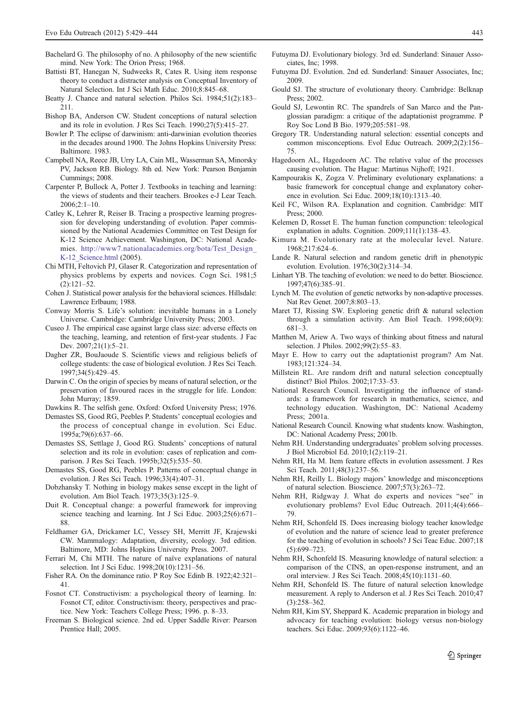- <span id="page-14-0"></span>Bachelard G. The philosophy of no. A philosophy of the new scientific mind. New York: The Orion Press; 1968.
- Battisti BT, Hanegan N, Sudweeks R, Cates R. Using item response theory to conduct a distracter analysis on Conceptual Inventory of Natural Selection. Int J Sci Math Educ. 2010;8:845–68.
- Beatty J. Chance and natural selection. Philos Sci. 1984;51(2):183– 211.
- Bishop BA, Anderson CW. Student conceptions of natural selection and its role in evolution. J Res Sci Teach. 1990;27(5):415–27.
- Bowler P. The eclipse of darwinism: anti-darwinian evolution theories in the decades around 1900. The Johns Hopkins University Press: Baltimore. 1983.
- Campbell NA, Reece JB, Urry LA, Cain ML, Wasserman SA, Minorsky PV, Jackson RB. Biology. 8th ed. New York: Pearson Benjamin Cummings; 2008.
- Carpenter P, Bullock A, Potter J. Textbooks in teaching and learning: the views of students and their teachers. Brookes e-J Lear Teach.  $2006:2:1-10$ .
- Catley K, Lehrer R, Reiser B. Tracing a prospective learning progression for developing understanding of evolution. Paper commissioned by the National Academies Committee on Test Design for K-12 Science Achievement. Washington, DC: National Academies. [http://www7.nationalacademies.org/bota/Test\\_Design\\_](http://www7.nationalacademies.org/bota/Test_Design_K-12_Science.html) [K-12\\_Science.html](http://www7.nationalacademies.org/bota/Test_Design_K-12_Science.html) (2005).
- Chi MTH, Feltovich PJ, Glaser R. Categorization and representation of physics problems by experts and novices. Cogn Sci. 1981;5 (2):121–52.
- Cohen J. Statistical power analysis for the behavioral sciences. Hillsdale: Lawrence Erlbaum; 1988.
- Conway Morris S. Life's solution: inevitable humans in a Lonely Universe. Cambridge: Cambridge University Press; 2003.
- Cuseo J. The empirical case against large class size: adverse effects on the teaching, learning, and retention of first-year students. J Fac Dev. 2007;21(1):5–21.
- Dagher ZR, BouJaoude S. Scientific views and religious beliefs of college students: the case of biological evolution. J Res Sci Teach. 1997;34(5):429–45.
- Darwin C. On the origin of species by means of natural selection, or the preservation of favoured races in the struggle for life. London: John Murray; 1859.
- Dawkins R. The selfish gene. Oxford: Oxford University Press; 1976.
- Demastes SS, Good RG, Peebles P. Students' conceptual ecologies and the process of conceptual change in evolution. Sci Educ. 1995a;79(6):637–66.
- Demastes SS, Settlage J, Good RG. Students' conceptions of natural selection and its role in evolution: cases of replication and comparison. J Res Sci Teach. 1995b;32(5):535–50.
- Demastes SS, Good RG, Peebles P. Patterns of conceptual change in evolution. J Res Sci Teach. 1996;33(4):407–31.
- Dobzhansky T. Nothing in biology makes sense except in the light of evolution. Am Biol Teach. 1973;35(3):125–9.
- Duit R. Conceptual change: a powerful framework for improving science teaching and learning. Int J Sci Educ. 2003;25(6):671– 88.
- Feldhamer GA, Drickamer LC, Vessey SH, Merritt JF, Krajewski CW. Mammalogy: Adaptation, diversity, ecology. 3rd edition. Baltimore, MD: Johns Hopkins University Press. 2007.
- Ferrari M, Chi MTH. The nature of naïve explanations of natural selection. Int J Sci Educ. 1998;20(10):1231–56.
- Fisher RA. On the dominance ratio. P Roy Soc Edinb B. 1922;42:321– 41.
- Fosnot CT. Constructivism: a psychological theory of learning. In: Fosnot CT, editor. Constructivism: theory, perspectives and practice. New York: Teachers College Press; 1996. p. 8–33.
- Freeman S. Biological science. 2nd ed. Upper Saddle River: Pearson Prentice Hall; 2005.
- Futuyma DJ. Evolutionary biology. 3rd ed. Sunderland: Sinauer Associates, Inc; 1998.
- Futuyma DJ. Evolution. 2nd ed. Sunderland: Sinauer Associates, Inc; 2009.
- Gould SJ. The structure of evolutionary theory. Cambridge: Belknap Press; 2002.
- Gould SJ, Lewontin RC. The spandrels of San Marco and the Panglossian paradigm: a critique of the adaptationist programme. P Roy Soc Lond B Bio. 1979;205:581–98.
- Gregory TR. Understanding natural selection: essential concepts and common misconceptions. Evol Educ Outreach. 2009;2(2):156– 75.
- Hagedoorn AL, Hagedoorn AC. The relative value of the processes causing evolution. The Hague: Martinus Nijhoff; 1921.
- Kampourakis K, Zogza V. Preliminary evolutionary explanations: a basic framework for conceptual change and explanatory coherence in evolution. Sci Educ. 2009;18(10):1313–40.
- Keil FC, Wilson RA. Explanation and cognition. Cambridge: MIT Press; 2000.
- Kelemen D, Rosset E. The human function compunction: teleological explanation in adults. Cognition. 2009;111(1):138–43.
- Kimura M. Evolutionary rate at the molecular level. Nature. 1968;217:624–6.
- Lande R. Natural selection and random genetic drift in phenotypic evolution. Evolution. 1976;30(2):314–34.
- Linhart YB. The teaching of evolution: we need to do better. Bioscience. 1997;47(6):385–91.
- Lynch M. The evolution of genetic networks by non-adaptive processes. Nat Rev Genet. 2007;8:803–13.
- Maret TJ, Rissing SW. Exploring genetic drift & natural selection through a simulation activity. Am Biol Teach. 1998;60(9): 681–3.
- Matthen M, Ariew A. Two ways of thinking about fitness and natural selection. J Philos. 2002;99(2):55–83.
- Mayr E. How to carry out the adaptationist program? Am Nat. 1983;121:324–34.
- Millstein RL. Are random drift and natural selection conceptually distinct? Biol Philos. 2002;17:33–53.
- National Research Council. Investigating the influence of standards: a framework for research in mathematics, science, and technology education. Washington, DC: National Academy Press; 2001a.
- National Research Council. Knowing what students know. Washington, DC: National Academy Press; 2001b.
- Nehm RH. Understanding undergraduates' problem solving processes. J Biol Microbiol Ed. 2010;1(2):119–21.
- Nehm RH, Ha M. Item feature effects in evolution assessment. J Res Sci Teach. 2011;48(3):237–56.
- Nehm RH, Reilly L. Biology majors' knowledge and misconceptions of natural selection. Bioscience. 2007;57(3):263–72.
- Nehm RH, Ridgway J. What do experts and novices "see" in evolutionary problems? Evol Educ Outreach. 2011;4(4):666– 79.
- Nehm RH, Schonfeld IS. Does increasing biology teacher knowledge of evolution and the nature of science lead to greater preference for the teaching of evolution in schools? J Sci Teac Educ. 2007;18 (5):699–723.
- Nehm RH, Schonfeld IS. Measuring knowledge of natural selection: a comparison of the CINS, an open-response instrument, and an oral interview. J Res Sci Teach. 2008;45(10):1131–60.
- Nehm RH, Schonfeld IS. The future of natural selection knowledge measurement. A reply to Anderson et al. J Res Sci Teach. 2010;47 (3):258–362.
- Nehm RH, Kim SY, Sheppard K. Academic preparation in biology and advocacy for teaching evolution: biology versus non-biology teachers. Sci Educ. 2009;93(6):1122–46.